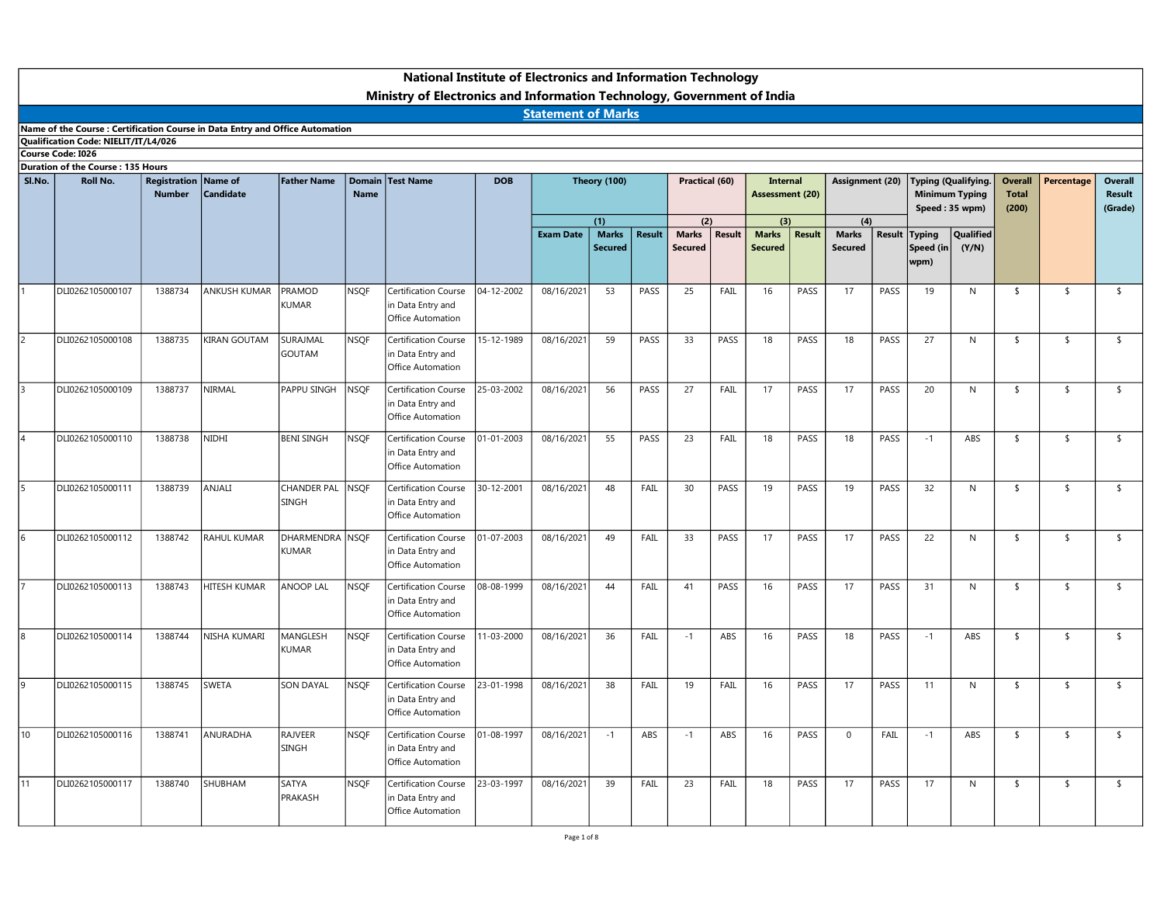## Name of the Course : Certification Course in Data Entry and Office Automation Qualification Code: NIELIT/IT/L4/026 Course Code: I026 Duration of the Course : 135 Hours Exam Date | Marks | Result | Marks | Result | Marks | Result Secured | Secured | Secured | Secured Marks Secured | Secured | Secured | Speed (in (Y/N) | | | | | | | | Marks | Result | Typing and<br>
and text (20) Assignment (20) Typing (Qualifying. Overall Total Speed : 35 wpm) Total Speed : 35 wpm) (200)<br>
Result Marks Result Typing Qualified Secured Speed (in (Y/N)<br>
PASS 17 PASS 19 N 3 5 5 5 t (20) Typing (Qualifying. Overall<br>
Minimum Typing (Qualifying. Overall<br>
Speed : 35 wpm) (200)<br>
Result Typing Qualified<br>
Speed (in (Y/N)<br>
wpm) PASS 19 N \$ \$ \$ wpm) **Qualified Example the Course Certification Course to Data Entry and Office Automation (Y) Electronics and Information Technology, Government of India<br>Course Course Course Course in the Course and the Course of the Course of the Co** in Data Entry and Office Automation 11.11 at of Electronics and Information Technology, Government of India<br>
Statement of Marks<br>
12.002 Theory (100) Practical (60) Internal<br>
2008 Theory (100) Practical (60) Internal<br>
2008 Secured Result (20) Assignment (20) **Mational Institute of Electronics and Information Technology<br>
National Institute of Electronics and Information Technology, Government of<br>
Dualification Code NELLT/IT/LAGOS<br>
Dualification Code NELLT/IT/LAGOS<br>
Material Cod** National Institute of Electronics and Information Technology<br>
Ministry of Electronics and Information Technology, Government of India<br>
Name<br>
Name<br>
Name<br>
Name<br>
New Certification Course<br>
Name<br>
Name Technology, Government of in Data Entry and Office Automation 15-12-1989 08/16/2021 59 PASS 33 PASS 18 PASS 18 PASS 27 N \$ \$ \$ **Exception of the Course Certification Course in Deale Entry and Office Automation<br>
Duration Course (Certification Course in Deale Entry and Office Automation<br>
Duration of the Course 1388 October 1888<br>
Duration of the Cou** in Data Entry and Office Automation 12002 08/16/2021 58 PASS 27 FAIL 18 PASS 17 PASS 27 N \$ \$ 3-00-10-10-2023 08/16/2021 55 PASS 27 FAIL 18 PASS 18 PASS 17 PASS 21 FAIL 18 PASS 16 PASS 11 PASS 21 TO 10-12-0023 08/16/2021 55 PASS 23 FAIL 18 PASS 18 PASS 18 PA **National Institute of Electronics and Information Technology<br>
Ministry of Electronics and Information Technology, Government of India<br>
Duration Classic Results (Cardidate Cardidate Plane of Technology, Certification Cour** in Data Entry and Office Automation 1.02 CONTROL CONTROL CONTROL CONTROL CONTROL CONTROL CONTROL CONTROL CONTROL CONTROL CONTROL CONTROL CONTROL CONTROL CONTROL CONTROL CONTROL CONTROL CONTROL CONTROL CONTROL CONTROL CONTROL CONTROL CONTROL CONTROL CONTROL C Similar of the Counteir Course in Dia Real and Differs Automation<br>Counter Coul (Second Marital 2002)<br>
Same of the Counter Counter Counter Counter Counter Counter Counter Counter Counter Counter Counter Counter Counter Cou in Data Entry and Office Automation 3 - 12-2001 08 - 12-2001 08/16/2021 35 PASS 27 FAIL 11 PASS 17 PASS 28 N \$ \$ \$ 13 - 12-2001 08/16/2021 48 FAL 33 PASS 19 PASS 17 PASS 27 N \$ \$ \$ 3<br>3 - 13-12-2001 08/16/2021 48 FAL 30 PASS 29 FAIL 11 PASS 19 PASS 28 N \$ \$ \$ Concertisorce Come 139872 RAHUL KUMAR New Process 2014-2022 RAHUL KUMAR New PROPERTY CONSERVATION CONTINUES.<br>
The Course of Course of Come 2014-2022 RAHUL KUMAR New PROPERTY 2022 RAHUL KUMAR New PROPERTY 2022<br>
2. CONSERVA in Data Entry and Office Automation 1008 Theory (100) Practical (60) Metromat (20) Assignment (20) Typing Qualifying. Overslat Percentage Overslat Mark (2)<br>
Scam Date Marks Result Mark (2) Result Marks Result (2) Typing Qualifying. (2001)<br>
Scam Date Marks Re 7 DLI0262105000113 1388743 HITESH KUMAR ANOOP LAL NSQF Certification Course in Data Entry and Office Automation 08-2021 22: 28 Context Context Context Context Context Context Context Context Context Context Context Context Context Context Context Context Context Context Context Context Context Context Context Context Context Context 8 DLI0262105000114 1388744 NISHA KUMARI MANGLESH KUMAR NSQF Certification Course in Data Entry and Office Automation 11-03-2000 08/16/2021 35 PASS -22 FAIL 11 PASS 17 PASS -22 N 1 \$ \$ \$ \$ 34.04 PASS -22 N 1 \$ \$ \$ \$ \$ 34.04 PASS -22 N 1 \$ \$ \$ \$ \$ 34.04 PASS -22 PASS -22 N 1 \$ \$ \$ \$ \$ 34.04 PASS -22 PASS -22 N 1 \$ \$ \$ \$ \$ \$ \$ \$ \$ \$ \$ \$ \$ \$ 9 DLI0262105000115 1388745 SWETA SON DAYAL NSQF Certification Course in Data Entry and Office Automation 23-01-1998 08/16/2021 38 FAIL 19 FAIL 16 PASS 17 PASS 11 N \$ \$ \$ 10 DLI0262105000116 1388741 ANURADHA RAJVEER SINGH NSQF Certification Course in Data Entry and Office Automation 01-08-1997 08/16/2021 -1 ABS -1 ABS 16 PASS 0 FAIL -1 ABS \$ \$ \$ 11 DLI0262105000117 1388740 SHUBHAM SATYA PRAKASH NSQF Certification Course 23-02-2021 08/16/2021 35 PASS 23 FAIL 18 PASS 17 PASS 17 ABS 1 ABS 1 5 5 5 5 7 1 07:03 08/16/2021 44 FAIL 33 PASS 17 PASS 17 PASS 23 N 1 5 5 5 5 6 107:04 PAU 1 PASS 17 PASS 17 PASS 17 PASS 23 N 1 5 5 5 6 107:04 PAU 1 PASS National Institute of Electronics and Information Technology Ministry of Electronics and Information Technology, Government of India Statement of Marks **and Information Technology, Government of India<br>
FMarks<br>
(1) Practical (60) Internal Assignment (20) Typing (Qualifying, Overall Percentage Overall<br>
Miximum Typing (Qualifying, Overall Percentage Overall<br>
(1) Marks<br>
Resu** Overall Percentage Total Result (200) (Grade) Overall **n Technology<br>
Sovernment of India<br>
Assessment (20) Assignment (20) Typing (Qualifying<br>
Practical (60) Internal Assessment (20) Assignment (20) Typing (Qualifying<br>
Total Speed : 35 wpm) (200) Total Result<br>
Speed : 35 wpm)** Assessment (20) Assignment (20) Typing (Qualifying. (4) Registration Name of Tather Name Number Candidate | Name National Institute of Electronics and Information<br>
Junistry of Electronics and Information Technology, Gonalization Course : Certification Course in Data Entry and Office Automation<br>
Durantion of the Course (SLELITT/T/1/4/ Candidate National Institute of Electronics and Information Technology<br>
Father Name Statement of Marks<br>
Father Name Domain Test Name<br>
Theory (100) Pactical (60) Internal<br>
Assessment (20) Assignment (20) Typing (Qualifying. Overall P Minimum Typing Total Speed : 35 wpm)

in Data Entry and Office Automation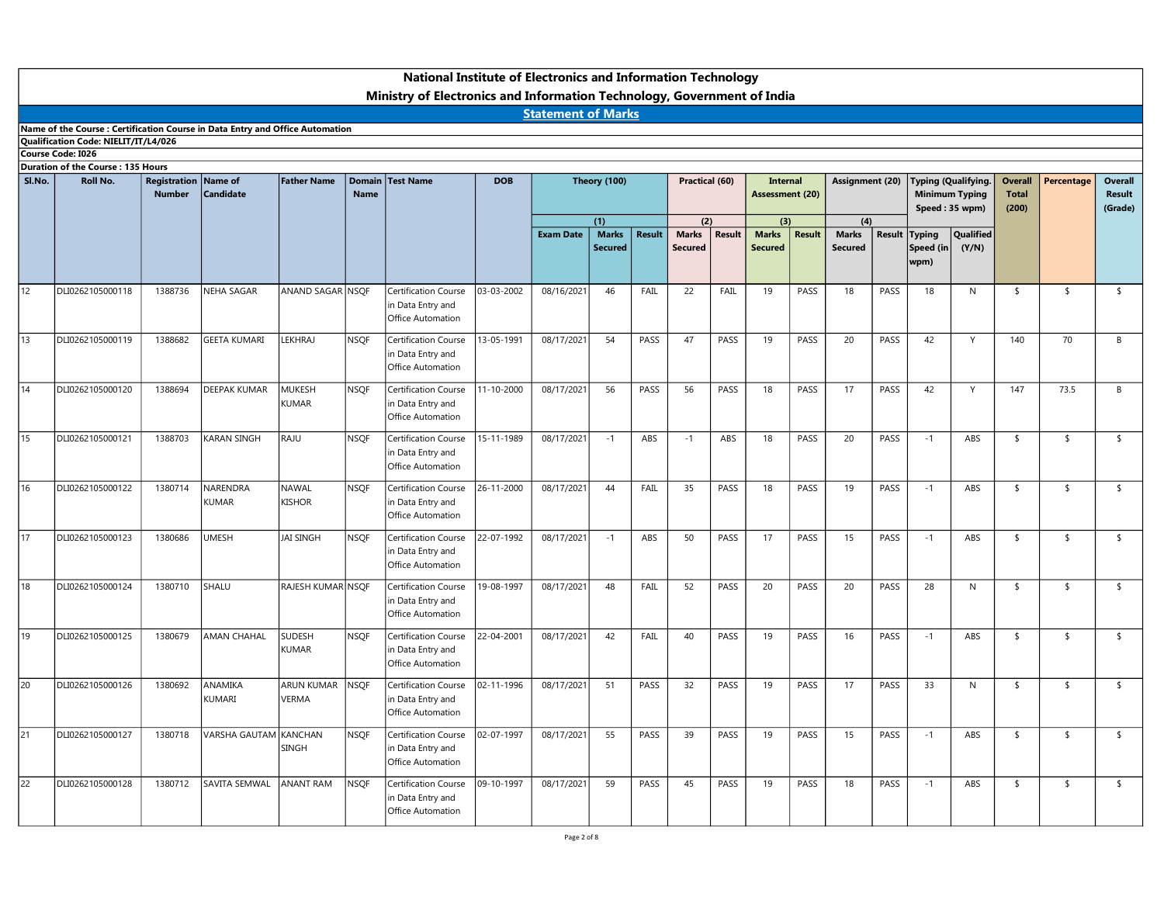### Name of the Course : Certification Course in Data Entry and Office Automation Qualification Code: NIELIT/IT/L4/026 Course Code: I026 Duration of the Course : 135 Hours Exam Date | Marks | Result | Marks | Result | Marks | Result Secured | Secured | Secured | Secured Marks Secured | Secured | Secured | Speed (in (Y/N) | | | | | | | | Marks | Result | Typing and a Massignment (20) Typing (Qualifying. Overall Total Minimum Typing Total Speed : 35 wpm) Total Speed (35 wpm) (200) Result Marks Result Marks (Grade) Speed (in  $(Y/N)$ <br>PASS 18 PASS 18 N 3 N 3 S t (20) Typing (Qualifying. Overall<br>
Minimum Typing (Cualifying. Overall<br>
Speed : 35 wpm) (200)<br>
Result Typing Qualified<br>
Speed (in (Y/N)<br>
wpm) PASS 18 N \$ \$ wpm) **Qualified** National Institute of Electronics and Information Technology<br>
Statement of Marks<br>
Statement of Marks<br>
Theory (100)<br>
Theory (100)<br>
Theory (100)<br>
Practical (60)<br>
Assessment (20)<br>
Assessment (20)<br>
Assessment (20)<br>
Assessment Ministry of Electronics and Information Technology, Government of India Statement of Marks and Information Technology<br>
(1) Practical (60) Internal<br>
(1) Practical (60) Internal<br>
Marks (Secured Result (20) Typing (Qualifying, Overall Percentage Overall<br>
Marks (Result (2) (4) Secured Result (20) Typing (Qualifying Overall Percentage Total Result (200) (Grade) Overall **n Technology<br>
Sovernment of India<br>
Assessment (20) Assignment (20) Typing (Qualifying<br>
Practical (60) Internal Assessment (20) Assignment (20) Typing (Qualifying<br>
Total Speed : 35 wpm) (200) Total Result<br>
Speed : 35 wpm)** Assessment (20) Assignment (20) Typing (Qualifying. (4) Registration Name of Tather Name Number Candidate | Name National Institute of Electronics and Information<br>
Junistry of Electronics and Information Technology, Gonalization Course : Certification Course in Data Entry and Office Automation<br>
Durantion of the Course (SLELITT/T/1/4/ Candidate National Institute of Electronics and Information Technology<br>
Father Name Statement of Marks<br>
Father Name Domain Test Name<br>
Theory (100) Pactical (60) Internal<br>
Assessment (20) Assignment (20) Typing (Qualifying. Overall P Minimum Typing Total Speed : 35 wpm) National Institute of Electronics and Information Technology<br>
National Information Course Certification Course in Data Entry and Office Automation<br>
Course Cook REG (REG ACTION 2008)<br>
Duration of the Course : 135 Hours<br>
Dur in Data Entry and Office Automation 1933-03-2002 08/16/2021 54 PASS 47 PASS 19 PASS 20 PASS 20 PASS 21<br>
1933-03-2022 08/16/2021 54 PASS 47 PASS 19 PASS 20 PASS 20 PASS 20 PASS 18 N<br>
1934-03-2022 08/16/2021 54 PASS 47 PASS 19 PASS 20 PASS 47 PASS 19 PASS 20 P **National Institute of Electronics and Information Technology<br>
National Electronics and Information Technology, Government of India<br>
Duration Course in Date for y and Office Automation<br>
Duration Course (September Certific** in Data Entry and Office Automation 11.10 of Electronics and Information Technology<br>
13-05-1991 08:16 (Martins of Martins of Martins of Martins of Martins of Martins of Martins of Martins of Martins of Martins of Martins of Assignment (20)<br>
13-05-1991 08:16 14 DLI0262105000120 1388694 DEEPAK KUMAR MUKESH KUMAR NSQF Certification Course in Data Entry and Office Automation 11.<br>
11.10-2000 08/17/2021 58 PASS 56 PASS 18 PASS 18 PASS 22 PASS 17 PASS 36 PAST 11-10-2000 08/17/2022 1<br>
11-10-2000 08/17/2022 1 ASS 11 PASS 18 PASS 18 PASS 22 PASS 17 PASS 42 Y 147 73.5 B<br>
11-10-2000 08/17/2021 56 PASS **National Institute of Electronics and Information Technology<br>
Statement of Marks<br>
Course in This Line, instead in the Boston Course in the Boston Course of The Certification<br>
Design and the Course of Certification Course** in Data Entry and Office Automation 15-11-108 (Rettronics and Information Technology, Government of India<br>
16-11-1989 08-12-12-2020 (Rettronics Control of The Control of The Control of The Control of The Control of The Control of The Control of The Control o 16 Dunned of the Counter Certification Counter in Dunned Police Andreaming<br>Counter Certification (2001)<br>Counter of the Counter of The Certification (2001)<br>2006-2011 18:00:00 18:00:00 18:00:00 18:00:00 18:00 18:00 18:00 18: in Data Entry and Office Automation 26-11-2010 08 Theory (100) Practical (60) Internal Assignment (20) Typing (Qualifying, Owerall Percentage Overall<br>
26-11-2000 08 Theory (100) Practical (60) Assignment (20) Assignment (20) Typing (Qualifying, Owerall Perce Conceler Cole 13. (1992)<br>
The Course (1990) The Course (1990) The Course (1990) The Course of Communication Course (2001) Assuming the Course of Certification Course (1990) The Course (1990) The Course (1990) The Course (1 in Data Entry and Office Automation 22-07-1992 08/17/2021 -1 ABS 50 PASS 17 PASS 15 PASS -1 ABS \$ \$ \$ 18 DESAPTEROOTES - 19976 - 19976 1998 - 1998 - 1998 - 1998 - 1998 - 1998 - 1998 - 1998 - 1998 - 1998 - 1998 - 1998 - 1998 - 1998 - 1998 - 1998 - 1998 - 1998 - 1998 - 1998 - 1998 - 1998 - 1998 - 1998 - 1998 - 1998 - 1998 in Data Entry and Office Automation 19-08-2022 (Comedo Market Market Market Market Market Market (Comedo Market Comedo Market Comedo Market Comedo Market Comedo Market Comedo Market Comedo Market Comedo Market Comedo Market Comedo Market Comedo Market Comedo 19 DLID22105000118 - 188076 AMAND MADA AWAPD MADA RCP Commission-Course 21 01 2002<br>
19 DLID22105000119 - 198062<br>
19 DLID22105000119 - 198062<br>
19 DLID22105000125 - 198062<br>
198062-105000125 - 198062<br>
198062-105000125 - 1980 in Data Entry and Office Automation 22-04-2001 08/17/2021 42 FAIL 52 PASS 19 PASS 15 PASS 16 PASS 16 PASS 16 PASS 19 PASS 17 PASS 17 PASS 17 PASS 17 PASS 17 PASS 17 PASS 17 PASS 17 PASS 17 PASS 17 PASS 17 PASS 17 PASS 17 PASS 17 PASS 17 PASS 17 PASS 18 PASS 20 DUNARTHONOGRAPH - 1200000126 - 12000002 - 1200000 - 1200000 - 120000 - 120000 - 120000 - 120000 - 120000 - 120000 - 120000 - 120000 - 120000 - 120000 - 120000 - 120000 - 120000 - 120000 - 120000 - 120000 - 120000 - 120 in Data Entry and Office Automation 13.05.1991 08/17/2021 54 PASS 47 PASS 20 PASS 42 Y 140 70 8<br>11-10-2000 08/17/2021 55 PASS 35 PASS 18 PASS 17 PASS 42 Y 140 70 8<br>15-11-1998 08/17/2021 -1 ABS -1 ABS 18 PASS 20 PASS -1 ABS 5 \$ \$<br>15-11-1998 08/17/2021 -1 ABS 21 DLI0262105000121 - 1880/04 DLINA (DMIN) - 1880/04 DLINA (DMIN) - 1890/04 DLINA (DMIN) - 1890/04 DLINA Certification Course (11.10.1000) - 04/17/2021 - 14 ARS - 14 ARS - 14 ARS - 14 ARS - 14 ARS - 14 ARS - 14 ARS - 14 A in Data Entry and Office Automation 11-10-2000 08/17/2021 56 PASS 56 PASS 18 PASS 17 PASS 42 Y 147 73.5 B<br>15 11 1999 08/17/2021 1 ABS 1 ABS 19 PASS 70 PASS 1 ABS 1 5 5<br>28-11-2000 08/17/2021 44 PAL 33 PASS 18 PASS 70 PASS 15 PASS 1 ABS 1 5 5<br>28-11-2000 08/17/ 22 DLI026210500012 - 238070 CARAN SMEH AAJU (CARAN SMEH AAJU (CARAN SMEH AAJU CHR Certification Course 15 11 1989 04/17/2021 - 1 ABS 1 ABS 20 20<br>24 DLI026210500022 - 238070 CMEEN ANANT RAM NSQF Certification Course 22:07: in Data Entry and Office Automation 09-10-1997 08/17/2021 59 PASS 45 PASS 19 PASS 18 PASS -1 ABS \$ \$ \$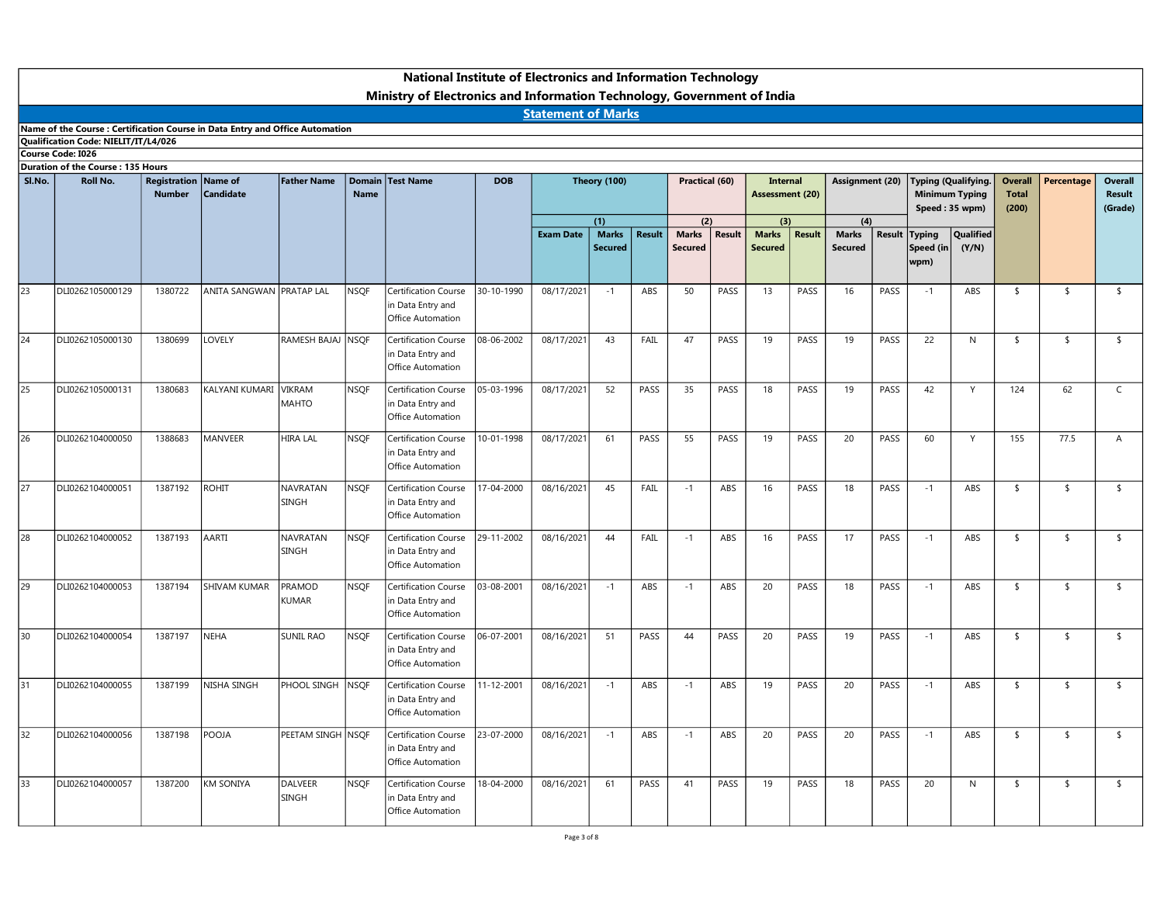|        |                                                                               |                                              |                          |                        |                       | <b>National Institute of Electronics and Information Technology</b><br>Ministry of Electronics and Information Technology, Government of India |                     |                           |                                       |               |                                       |        |                                       |                                    |                                       |                 |                                                                |                    |                       |                    |                              |
|--------|-------------------------------------------------------------------------------|----------------------------------------------|--------------------------|------------------------|-----------------------|------------------------------------------------------------------------------------------------------------------------------------------------|---------------------|---------------------------|---------------------------------------|---------------|---------------------------------------|--------|---------------------------------------|------------------------------------|---------------------------------------|-----------------|----------------------------------------------------------------|--------------------|-----------------------|--------------------|------------------------------|
|        | Name of the Course : Certification Course in Data Entry and Office Automation |                                              |                          |                        |                       |                                                                                                                                                |                     | <b>Statement of Marks</b> |                                       |               |                                       |        |                                       |                                    |                                       |                 |                                                                |                    |                       |                    |                              |
|        | Qualification Code: NIELIT/IT/L4/026<br>Course Code: I026                     |                                              |                          |                        |                       |                                                                                                                                                |                     |                           |                                       |               |                                       |        |                                       |                                    |                                       |                 |                                                                |                    |                       |                    |                              |
| SI.No. | Duration of the Course: 135 Hours<br>Roll No.                                 | <b>Registration Name of</b><br><b>Number</b> | Candidate                | <b>Father Name</b>     | <b>Domain</b><br>Name | <b>Test Name</b>                                                                                                                               | <b>DOB</b>          |                           | Theory (100)                          |               | Practical (60)                        |        |                                       | <b>Internal</b><br>Assessment (20) |                                       | Assignment (20) | Typing (Qualifying.<br><b>Minimum Typing</b><br>Speed: 35 wpm) |                    | <b>Total</b><br>(200) | Overall Percentage | Overall<br>Result<br>(Grade) |
|        |                                                                               |                                              |                          |                        |                       |                                                                                                                                                |                     | <b>Exam Date</b>          | (1)<br><b>Marks</b><br><b>Secured</b> | <b>Result</b> | (2)<br><b>Marks</b><br><b>Secured</b> | Result | (3)<br><b>Marks</b><br><b>Secured</b> | Result                             | (4)<br><b>Marks</b><br><b>Secured</b> | Result          | <b>Typing</b><br>Speed (in<br>wpm)                             | Qualified<br>(Y/N) |                       |                    |                              |
| 23     | DLI0262105000129                                                              | 1380722                                      | ANITA SANGWAN PRATAP LAL |                        | <b>NSQF</b>           | Certification Course                                                                                                                           | 30-10-1990          | 08/17/2021                | $-1$                                  | ABS           | 50                                    | PASS   | 13                                    | PASS                               | 16                                    | PASS            | $-1$                                                           | ABS                | $\sqrt{2}$            | - \$               | $\sqrt{2}$                   |
|        |                                                                               |                                              |                          |                        |                       | in Data Entry and<br>Office Automation                                                                                                         |                     |                           |                                       |               |                                       |        |                                       |                                    |                                       |                 |                                                                |                    |                       |                    |                              |
| 24     | DLI0262105000130                                                              | 1380699                                      | LOVELY                   | RAMESH BAJAJ NSQF      |                       | Certification Course<br>n Data Entry and<br>Office Automation                                                                                  | 08-06-2002          | 08/17/2021                | 43                                    | FAIL          | 47                                    | PASS   | 19                                    | PASS                               | 19                                    | PASS            | 22                                                             | N                  | $\sqrt{2}$            | - \$               | $\sqrt{2}$                   |
| 25     | DLI0262105000131                                                              | 1380683                                      | KALYANI KUMARI VIKRAM    | MAHTO                  | <b>NSQF</b>           | Certification Course<br>in Data Entry and<br>Office Automation                                                                                 | 05-03-1996          | 08/17/2021                | 52                                    | PASS          | 35                                    | PASS   | 18                                    | PASS                               | 19                                    | PASS            | 42                                                             | Y                  | 124                   | 62                 | $\mathsf{C}$                 |
| 26     | DLI0262104000050                                                              | 1388683                                      | MANVEER                  | <b>HIRA LAL</b>        | <b>NSQF</b>           | Certification Course<br>in Data Entry and<br>Office Automation                                                                                 | 10-01-1998          | 08/17/2021                | 61                                    | PASS          | 55                                    | PASS   | 19                                    | PASS                               | 20                                    | PASS            | 60                                                             | Y                  | 155                   | 77.5               | $\overline{A}$               |
| 27     | DLI0262104000051                                                              | 1387192                                      | ROHIT                    | NAVRATAN<br>SINGH      | <b>NSQF</b>           | Certification Course<br>in Data Entry and<br>Office Automation                                                                                 | 17-04-2000          | 08/16/2021                | 45                                    | FAIL          | $-1$                                  | ABS    | 16                                    | PASS                               | 18                                    | PASS            | $-1$                                                           | ABS                | $\frac{1}{2}$         | $\sqrt{2}$         | $\sqrt{2}$                   |
| 28     | DLI0262104000052                                                              | 1387193                                      | AARTI                    | NAVRATAN<br>SINGH      | <b>NSQF</b>           | Certification Course<br>in Data Entry and<br>Office Automation                                                                                 | $\sqrt{29-11-2002}$ | 08/16/2021                | 44                                    | FAIL          | $-1$                                  | ABS    | 16                                    | PASS                               | 17                                    | PASS            | $-1$                                                           | ABS                | $\sqrt{2}$            | $\sqrt{5}$         | $\sqrt{2}$                   |
| 29     | DLI0262104000053                                                              | 1387194                                      | SHIVAM KUMAR             | PRAMOD<br><b>KUMAR</b> | <b>NSQF</b>           | Certification Course<br>in Data Entry and<br>Office Automation                                                                                 | 03-08-2001          | 08/16/2021                | $-1$                                  | ABS           | $-1$                                  | ABS    | 20                                    | PASS                               | 18                                    | PASS            | $-1$                                                           | ABS                | $\sqrt{2}$            | $\sqrt{2}$         | $\frac{1}{2}$                |
| 30     | DLI0262104000054                                                              | 1387197                                      | NEHA                     | <b>SUNIL RAO</b>       | <b>NSQF</b>           | Certification Course<br>in Data Entry and<br>Office Automation                                                                                 | 06-07-2001          | 08/16/2021                | 51                                    | PASS          | 44                                    | PASS   | 20                                    | PASS                               | 19                                    | PASS            | $-1$                                                           | ABS                | $\sqrt{2}$            | $\sqrt{2}$         | $\sqrt{2}$                   |
| 31     | DLI0262104000055                                                              | 1387199                                      | NISHA SINGH              | PHOOL SINGH NSQF       |                       | Certification Course<br>in Data Entry and<br>Office Automation                                                                                 | 11-12-2001          | 08/16/2021                | $-1$                                  | ABS           | $-1$                                  | ABS    | 19                                    | PASS                               | 20                                    | PASS            | $-1$                                                           | ABS                | $\sqrt{2}$            | $\sqrt{5}$         | $\sqrt{2}$                   |
| 32     | DLI0262104000056                                                              | 1387198                                      | POOJA                    | PEETAM SINGH NSQF      |                       | Certification Course<br>in Data Entry and<br>Office Automation                                                                                 | 23-07-2000          | 08/16/2021                | $-1$                                  | ABS           | $-1$                                  | ABS    | 20                                    | PASS                               | 20                                    | PASS            | $-1$                                                           | ABS                | $\frac{1}{2}$         | $\sqrt{2}$         | $\sqrt{2}$                   |
| 33     | DLI0262104000057                                                              | 1387200                                      | KM SONIYA                | DALVEER<br>SINGH       | <b>NSQF</b>           | Certification Course<br>in Data Entry and<br>Office Automation                                                                                 | 18-04-2000          | 08/16/2021                | 61                                    | PASS          | 41                                    | PASS   | 19                                    | PASS                               | 18                                    | PASS            | 20                                                             | N                  | $\sqrt{2}$            | $\sqrt{2}$         | $\frac{4}{3}$                |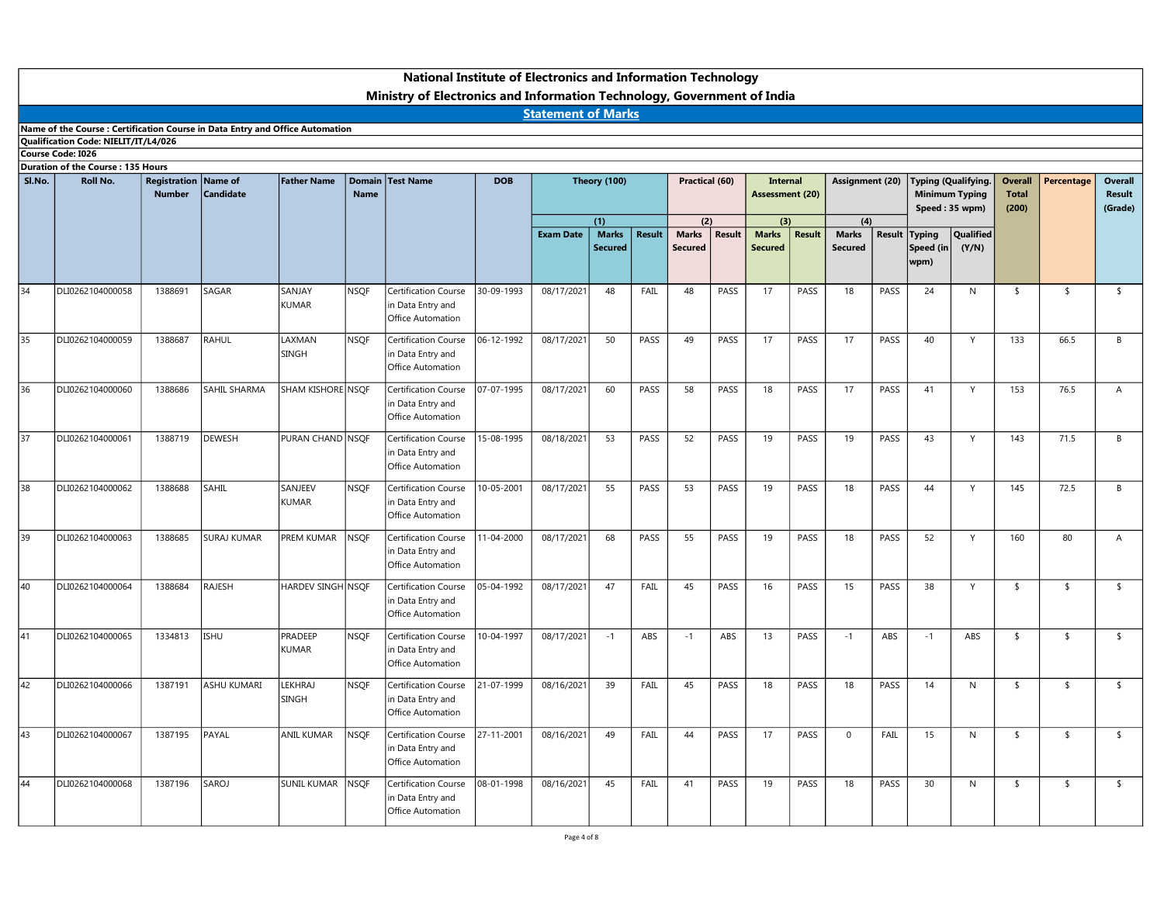### Name of the Course : Certification Course in Data Entry and Office Automation Qualification Code: NIELIT/IT/L4/026 Course Code: I026 Duration of the Course : 135 Hours Exam Date | Marks | Result | Marks | Result | Marks | Result Secured | Secured | Secured | Secured Marks Secured | Secured | Secured | Speed (in (Y/N) | | | | | | | | Marks | Result | Typing and<br>
and text (20) Assignment (20) Typing (Qualifying. Overall Total Speed : 35 wpm) Total Speed : 35 wpm) (200)<br>
Result Marks Result Typing Qualified Secured Speed (in (Y/N)<br>
PASS 18 PASS 24 N 5 5 5 example of the same of the same of the same of the same of the same of the same of the same of the same of the same of the same of the same of the same of the same of the same of the same of the same of the same of the sam wpm) **Qualified** National Institute of Electronics and Information Technology<br>
Statement of Marks<br>
Statement of Marks<br>
Theory (100)<br>
Theory (100)<br>
Theory (100)<br>
Practical (60)<br>
Assessment (20)<br>
Assessment (20)<br>
Assessment (20)<br>
Assessment Ministry of Electronics and Information Technology, Government of India Statement of Marks and Information Technology<br>
(1) Practical (60) Internal<br>
(1) Practical (60) Internal<br>
Marks (Secured Result (20) Typing (Qualifying, Overall Percentage Overall<br>
Marks (Result (2) (4) Secured Result (20) Typing (Qualifying Overall Percentage Total Result (200) (Grade) Overall **n Technology<br>
Sovernment of India<br>
Assessment (20) Assignment (20) Typing (Qualifying<br>
Practical (60) Internal Assessment (20) Assignment (20) Typing (Qualifying<br>
Total Speed : 35 wpm) (200) Total Result<br>
Speed : 35 wpm)** Assessment (20) Assignment (20) Typing (Qualifying. (4) Registration Name of Tather Name Number Candidate | Name National Institute of Electronics and Information<br>
Junistry of Electronics and Information Technology, Gonalization Course : Certification Course in Data Entry and Office Automation<br>
Durantion of the Course (SLELITT/T/1/4/ Candidate National Institute of Electronics and Information Technology<br>
Father Name Statement of Marks<br>
Father Name Domain Test Name<br>
Theory (100) Pactical (60) Internal<br>
Assessment (20) Assignment (20) Typing (Qualifying. Overall P Minimum Typing Total Speed : 35 wpm) **Mational Institute of Electronics and Information Technology<br>
Almand disa Course : Cariffication Course in Data Entry and Office Automation<br>
Course Course : T35 Hours<br>
Duration of the Course : T35 Hours<br>
Number Candidate** in Data Entry and Office Automation 11.11 and December 11 and December 11 and December 11 and December 11 and December 120 and December 120 and December 120 and December 120 and December 120 and December 120 and December 120 and December 120 and December 120 **Mational Institute of Electronics and Information Technology<br>
State of the Course : Certification Course in Data first year Office Automation<br>
Duration Course (Secret Cerification Course in Data first Name |<br>
Duration Co** in Data Entry and Office Automation 11.11e of Electronics and Information Technology<br>
Statement of India<br>
Statement Of Marks<br>
Theory (100)<br>
Theory (100)<br>
Practical (60)<br>
Practical (60)<br>
Assignment (20) Typing Qualifying, Owerall Percentage Owerall<br>
Statement 36 DLI0262104000060 1388686 SAHIL SHARMA SHAM KISHORE NSQF Certification Course in Data Entry and Office Automation 11 (19) Exchange of Electronics and Information Technology<br>
2008 <u>Statement of Marks</u><br>
2008 **The Contemposition of Marks (A)** Pacifical (A) Internal Asignment (20) Typing Qualifying Oweral Percentage Oweral<br>
2008 **The Cont National Institute of Electronics and Information Technology<br>
Statement of Marks<br>
Courte and The Certification Course in the Certification Course of The Certification<br>
During Cardinal Course of The Certification Course i** in Data Entry and Office Automation 15-08 and Information Technology, Government of India<br>
16-08-2021 16-08-2021 16-08-2021 23 PASS 23 PASS 19 PASS 19 PASS 19 PASS 44 Y 143 71.5 B<br>
16-08-2021 16-08-2021 16-08-2021 23 PASS 23 PASS 19 PASS 19 PASS 14 PASS 14 P Nume of the Course Certification Course in Data Entry and Office Automation<br>Course Certification (Samuel Marine Course of The Course of The Certification Course of The Certification Course<br>
Samuel Tampel Certification Cou in Data Entry and Office Automation 10-05-2011 08/17/2021 65 PASS 53 PASS 19 PASS 19 PASS 19 PASS 44 Y 145 71.5 B<br>10-05-2011 08/17/2021 68 PASS 53 PASS 19 PASS 19 PASS 18 PASS 44 Y 146 72.5 B<br>10-05-2011 08/17/2021 69 PASS 54 PASS 17 PASS 17 PASS 24 N 15 5 5<br> Conceler of the Course | 139 Decker Course | Subsequent Course | Subsequent Course | Subsequent Certification | Subsequent Certification | Subsequent Certification | Subsequent Certification | Subsequent Certification | Su in Data Entry and Office Automation 11-04-2000 08/17/2021 68 PASS 52 PASS 19 PASS 18 PASS 18 PASS 42 Y 140 72.5 B<br>11-04-2000 08/17/2021 68 PASS 52 PASS 19 PASS 18 PASS 18 PASS 14<br>11-04-2000 08/17/2021 68 PASS 52 PASS 19 PASS 18 PASS 18 PASS 49 PASS 19 PASS 1 40 DLI0262104000064 1388684 RAJESH HARDEV SINGH NSQF Certification Course in Data Entry and Office Automation 05-04-1992 08/17/2021 47 FAIL 45 PASS 16 PASS 15 PASS 38 Y \$ \$ \$ 44 DLIDACI (HOMAN DRAM NATHAN DRAM NATHAN DRAM DRAM NATHAN DRAM NATHAN DRAM NATHAN DRAM NATHAN DRAM NATHAN DRAM NATHAN DRAM NATHAN DRAM NATHAN DRAM NATHAN DRAM NATHAN DRAM NATHAN DRAM NATHAN DRAM NATHAN DRAM NATHAN DRAM N in Data Entry and Office Automation 10:03-2021 08:17/2021 -1 ABS -1 ABS -1 ABS -1 ABS -1 ABS -1 ABS -1 ABS -1 ABS -1 ABS -1 ABS -1 ABS -1 ABS -1 ABS -1 ABS -1 ABS -1 ABS -1 ABS -1 ABS -1 ABS -1 ABS -1 ABS -1 ABS -1 ABS -1 ABS -1 ABS -1 ABS -1 ABS -1 ABS -1 A 42 DLION2118400009 198864 ANNUL VIAMA (Definite Course Course Course Certification Course Certification Course Certification Course Certification Course (21.01.1902) ACC 2011200 11 ASS 11 ANS 11 ANS 12 ANS 12 ANS 12 ANS 1 in Data Entry and Office Automation 106-12-1999 08/17/2021 30 PASS 49 PASS 17 PASS 17 PASS 40 Y 133 06.5 &<br>197-07-1998 08/17/2022 60 PASS 38 PASS 18 PASS 17 PASS 11 Y 133 763 A<br>15-08-1998 08/17/2022 53 PASS 33 PASS 18 PASS 19 PASS 15 PASS 14 Y 145 72.5 &<br>15-43 DLI0262104000068 - 1388066 - 1388066 - 1388066 - 1388066 - 1388066 - 1388066 - 1388066 - 1388066 - 1388066 - 1388066 - 1388066 - 1388066 - 1388066 - 1388066 - 1388066 - 1388066 - 1388066 - 1388066 - 1388066 - 1388066 in Data Entry and Office Automation  $\begin{array}{|c|ccccccccccccccc|}\hline \text{27-07-9956} & 60(17)/20271 & 60 & \text{PACS} & 58 & \text{PACS} & 18 & \text{PACS} & 17 & \text{PACS} & 41 & \text{Y} & 153 & 76.5 & A \\ \hline \text{37-07-9956} & 60(17)/20271 & 53 & \text{PACS} & 59 & \text{PACS} & 19 & \text{PACS} & 19 & \text{PACS} & 45 & \text{Y} & 143 & 71.5 & B \\ \hline \text{18-08$ 44 DLI0262104000068 1387196 SAROJ SUNIL KUMAR NSQF Certification Course in Data Entry and Office Automation 15 08 1995 08/18/2021 53 PASS 12 PASS 19 PASS 19 PASS 4 Y 142 71.5 B<br>10-03-2031 08/17/2022 25 PASS 33 PASS 19 PASS 18 PASS 4 Y 143 71.5 B<br>11.04-2031 08/17/2022 25 PASS 33 PASS 19 PASS 18 PASS 4 Y 145 72.5 B<br>11.04-2032 08/1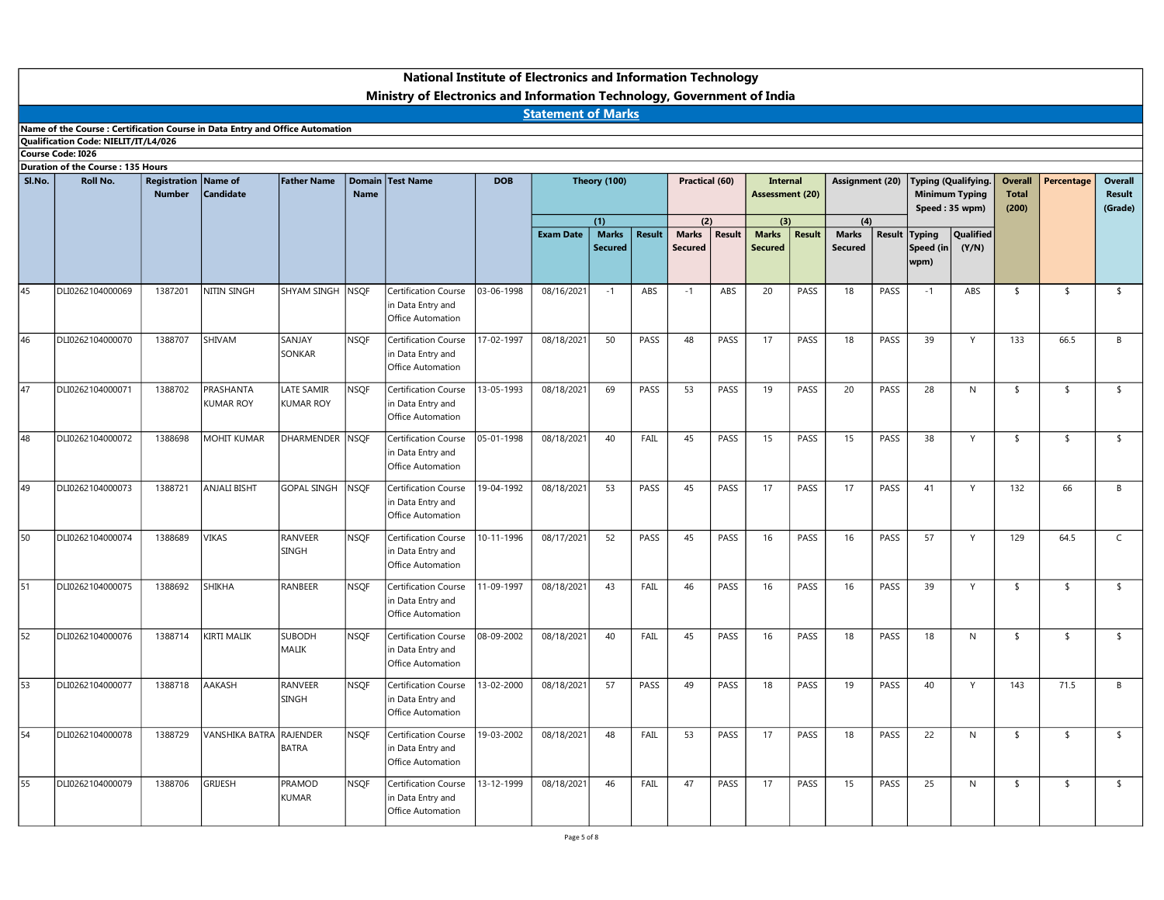|        |                                                                                                                                            |                             |                               |                         |               | Ministry of Electronics and Information Technology, Government of India |            | <b>National Institute of Electronics and Information Technology</b> |                                |        |                                |        |                                |                        |                                |        |                                         |                    |                       |                      |                   |
|--------|--------------------------------------------------------------------------------------------------------------------------------------------|-----------------------------|-------------------------------|-------------------------|---------------|-------------------------------------------------------------------------|------------|---------------------------------------------------------------------|--------------------------------|--------|--------------------------------|--------|--------------------------------|------------------------|--------------------------------|--------|-----------------------------------------|--------------------|-----------------------|----------------------|-------------------|
|        |                                                                                                                                            |                             |                               |                         |               |                                                                         |            | <b>Statement of Marks</b>                                           |                                |        |                                |        |                                |                        |                                |        |                                         |                    |                       |                      |                   |
|        | Name of the Course : Certification Course in Data Entry and Office Automation<br>Qualification Code: NIELIT/IT/L4/026<br>Course Code: I026 |                             |                               |                         |               |                                                                         |            |                                                                     |                                |        |                                |        |                                |                        |                                |        |                                         |                    |                       |                      |                   |
| SI.No. | Duration of the Course: 135 Hours<br>Roll No.                                                                                              | <b>Registration Name of</b> |                               | <b>Father Name</b>      | <b>Domain</b> | <b>Test Name</b>                                                        | <b>DOB</b> |                                                                     | Theory (100)                   |        | Practical (60)                 |        | Internal                       |                        |                                |        | Assignment (20) Typing (Qualifying.     |                    |                       | Overall   Percentage | Overall           |
|        |                                                                                                                                            | <b>Number</b>               | <b>Candidate</b>              |                         | Name          |                                                                         |            |                                                                     | (1)                            |        | (2)                            |        | (3)                            | <b>Assessment (20)</b> | (4)                            |        | <b>Minimum Typing</b><br>Speed: 35 wpm) |                    | <b>Total</b><br>(200) |                      | Result<br>(Grade) |
|        |                                                                                                                                            |                             |                               |                         |               |                                                                         |            | <b>Exam Date</b>                                                    | <b>Marks</b><br><b>Secured</b> | Result | <b>Marks</b><br><b>Secured</b> | Result | <b>Marks</b><br><b>Secured</b> | <b>Result</b>          | <b>Marks</b><br><b>Secured</b> | Result | Typing<br>Speed (in<br>wpm)             | Qualified<br>(Y/N) |                       |                      |                   |
| 45     | DLI0262104000069                                                                                                                           | 1387201                     | NITIN SINGH                   | SHYAM SINGH NSQF        |               | Certification Course                                                    | 03-06-1998 | 08/16/2021                                                          | $-1$                           | ABS    | $-1$                           | ABS    | 20                             | PASS                   | 18                             | PASS   | $-1$                                    | ABS                | $\sqrt{5}$            | - \$                 | $\sqrt{2}$        |
|        |                                                                                                                                            |                             |                               |                         |               | n Data Entry and<br>Office Automation                                   |            |                                                                     |                                |        |                                |        |                                |                        |                                |        |                                         |                    |                       |                      |                   |
| 46     | DLI0262104000070                                                                                                                           | 1388707                     | SHIVAM                        | SANJAY<br>SONKAR        | <b>NSQF</b>   | <b>Certification Course</b><br>n Data Entry and<br>Office Automation    | 17-02-1997 | 08/18/2021                                                          | 50                             | PASS   | 48                             | PASS   | 17                             | PASS                   | 18                             | PASS   | 39                                      | Y                  | 133                   | 66.5                 | B                 |
| 47     | DLI0262104000071                                                                                                                           | 1388702                     | PRASHANTA<br><b>KUMAR ROY</b> | LATE SAMIR<br>KUMAR ROY | <b>NSQF</b>   | Certification Course<br>n Data Entry and<br>Office Automation           | 13-05-1993 | 08/18/2021                                                          | 69                             | PASS   | 53                             | PASS   | 19                             | PASS                   | 20                             | PASS   | 28                                      | N                  | $\sqrt{2}$            | - \$                 | $\sqrt{2}$        |
| 48     | DLI0262104000072                                                                                                                           | 1388698                     | <b>MOHIT KUMAR</b>            | DHARMENDER NSQF         |               | Certification Course<br>in Data Entry and<br>Office Automation          | 05-01-1998 | 08/18/2021                                                          | 40                             | FAIL   | 45                             | PASS   | 15                             | PASS                   | 15                             | PASS   | 38                                      | Y                  | $\frac{1}{2}$         | $\sqrt{5}$           | $\sqrt{2}$        |
| 49     | DLI0262104000073                                                                                                                           | 1388721                     | ANJALI BISHT                  | GOPAL SINGH NSQF        |               | Certification Course<br>in Data Entry and<br>Office Automation          | 19-04-1992 | 08/18/2021                                                          | 53                             | PASS   | 45                             | PASS   | 17                             | PASS                   | 17                             | PASS   | 41                                      | Y                  | 132                   | 66                   | B                 |
| 50     | DLI0262104000074                                                                                                                           | 1388689                     | <b>VIKAS</b>                  | RANVEER<br>SINGH        | <b>NSQF</b>   | Certification Course<br>in Data Entry and                               | 10-11-1996 | 08/17/2021                                                          | 52                             | PASS   | 45                             | PASS   | 16                             | PASS                   | 16                             | PASS   | 57                                      | Y                  | 129                   | 64.5                 | $\mathsf{C}$      |
| 51     | DLI0262104000075                                                                                                                           | 1388692                     | SHIKHA                        | RANBEER                 | <b>NSQF</b>   | Office Automation<br>Certification Course                               | 11-09-1997 | 08/18/2021                                                          | 43                             | FAIL   | 46                             | PASS   | 16                             | PASS                   | 16                             | PASS   | 39                                      | Y                  | $\sqrt{2}$            | $\sqrt{2}$           | $\frac{1}{2}$     |
|        |                                                                                                                                            |                             |                               |                         |               | in Data Entry and<br>Office Automation                                  |            |                                                                     |                                |        |                                |        |                                |                        |                                |        |                                         |                    |                       |                      |                   |
| 52     | DLI0262104000076                                                                                                                           | 1388714                     | KIRTI MALIK                   | <b>SUBODH</b><br>MALIK  | <b>NSQF</b>   | Certification Course<br>in Data Entry and<br>Office Automation          | 08-09-2002 | 08/18/2021                                                          | 40                             | FAIL   | 45                             | PASS   | 16                             | PASS                   | 18                             | PASS   | 18                                      | N                  | $\sqrt{5}$            | - \$                 | $\sqrt{2}$        |
| 53     | DLI0262104000077                                                                                                                           | 1388718                     | AAKASH                        | RANVEER<br>SINGH        | <b>NSQF</b>   | Certification Course<br>in Data Entry and<br>Office Automation          | 13-02-2000 | 08/18/2021                                                          | 57                             | PASS   | 49                             | PASS   | 18                             | PASS                   | 19                             | PASS   | 40                                      | Y                  | 143                   | 71.5                 | B                 |
| 54     | DLI0262104000078                                                                                                                           | 1388729                     | VANSHIKA BATRA RAJENDER       | BATRA                   | <b>NSQF</b>   | Certification Course<br>in Data Entry and<br>Office Automation          | 19-03-2002 | 08/18/2021                                                          | 48                             | FAIL   | 53                             | PASS   | 17                             | PASS                   | 18                             | PASS   | 22                                      | N                  | $\sqrt{2}$            | $\sqrt{5}$           | $\frac{1}{2}$     |
| 55     | DLI0262104000079                                                                                                                           | 1388706                     | GRUESH                        | PRAMOD                  | <b>NSQF</b>   | Certification Course                                                    | 13-12-1999 | 08/18/2021                                                          | 46                             | FAIL   | 47                             | PASS   | 17                             | PASS                   | 15                             | PASS   | 25                                      | N                  | $\sqrt{2}$            | $\sqrt{5}$           | $\sqrt{2}$        |
|        |                                                                                                                                            |                             |                               | KUMAR                   |               | in Data Entry and<br>Office Automation                                  |            |                                                                     |                                |        |                                |        |                                |                        |                                |        |                                         |                    |                       |                      |                   |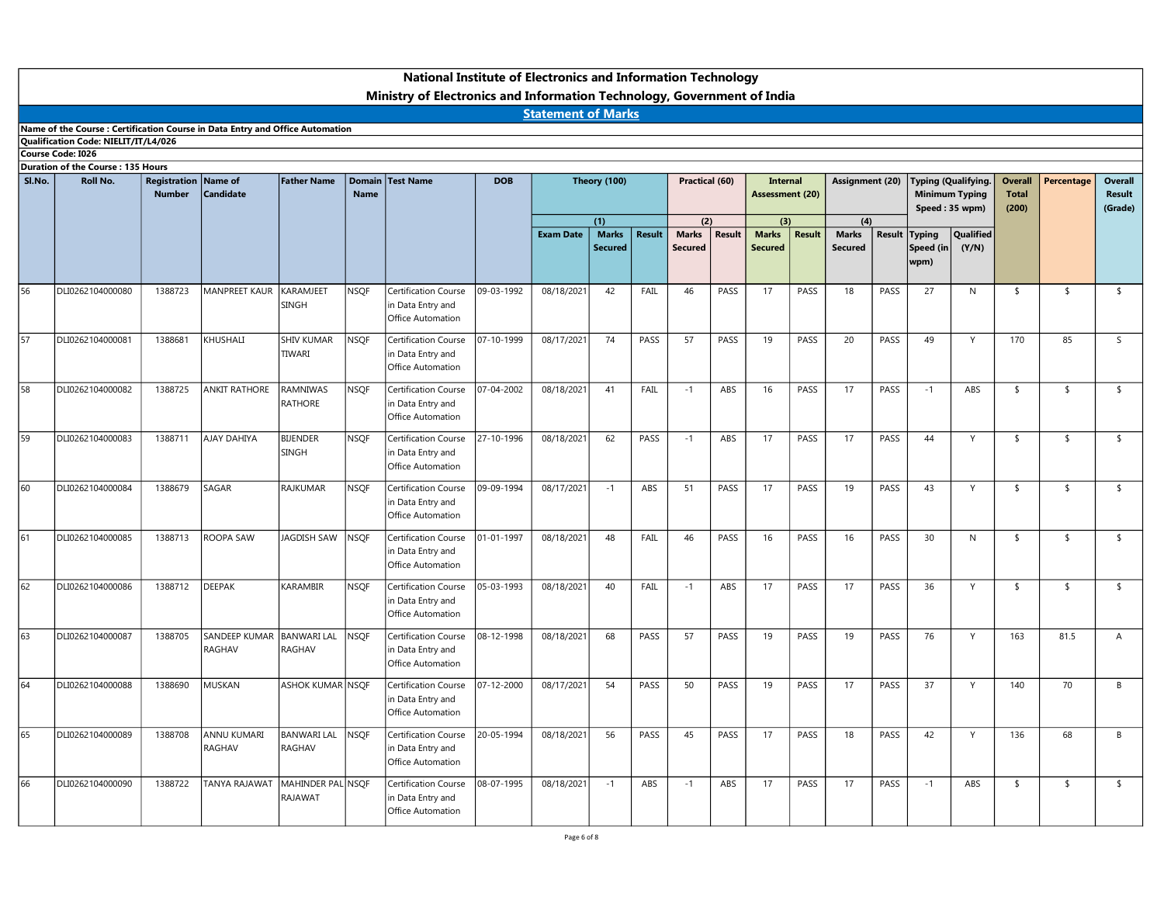|        |                                                                               |                                              |                                          |                                    |                       | Ministry of Electronics and Information Technology, Government of India |            | <b>National Institute of Electronics and Information Technology</b> |                                       |               |                                       |        |                                       |                                    |                                       |        |                                                                |                    |                       |                    |                              |
|--------|-------------------------------------------------------------------------------|----------------------------------------------|------------------------------------------|------------------------------------|-----------------------|-------------------------------------------------------------------------|------------|---------------------------------------------------------------------|---------------------------------------|---------------|---------------------------------------|--------|---------------------------------------|------------------------------------|---------------------------------------|--------|----------------------------------------------------------------|--------------------|-----------------------|--------------------|------------------------------|
|        | Name of the Course : Certification Course in Data Entry and Office Automation |                                              |                                          |                                    |                       |                                                                         |            | <b>Statement of Marks</b>                                           |                                       |               |                                       |        |                                       |                                    |                                       |        |                                                                |                    |                       |                    |                              |
|        | Qualification Code: NIELIT/IT/L4/026<br>Course Code: I026                     |                                              |                                          |                                    |                       |                                                                         |            |                                                                     |                                       |               |                                       |        |                                       |                                    |                                       |        |                                                                |                    |                       |                    |                              |
| SI.No. | Duration of the Course: 135 Hours<br>Roll No.                                 | <b>Registration Name of</b><br><b>Number</b> | Candidate                                | <b>Father Name</b>                 | <b>Domain</b><br>Name | <b>Test Name</b>                                                        | <b>DOB</b> |                                                                     | Theory (100)                          |               | Practical (60)                        |        |                                       | <b>Internal</b><br>Assessment (20) | Assignment (20)                       |        | Typing (Qualifying.<br><b>Minimum Typing</b><br>Speed: 35 wpm) |                    | <b>Total</b><br>(200) | Overall Percentage | Overall<br>Result<br>(Grade) |
|        |                                                                               |                                              |                                          |                                    |                       |                                                                         |            | <b>Exam Date</b>                                                    | (1)<br><b>Marks</b><br><b>Secured</b> | <b>Result</b> | (2)<br><b>Marks</b><br><b>Secured</b> | Result | (3)<br><b>Marks</b><br><b>Secured</b> | Result                             | (4)<br><b>Marks</b><br><b>Secured</b> | Result | <b>Typing</b><br>Speed (in<br>wpm)                             | Qualified<br>(Y/N) |                       |                    |                              |
| 56     | DLI0262104000080                                                              | 1388723                                      | MANPREET KAUR KARAMJEET                  | SINGH                              | <b>NSQF</b>           | Certification Course<br>in Data Entry and<br>Office Automation          | 09-03-1992 | 08/18/2021                                                          | 42                                    | FAIL          | 46                                    | PASS   | 17                                    | PASS                               | 18                                    | PASS   | 27                                                             | N                  | $\sqrt{2}$            | - \$               | $\sqrt{2}$                   |
| 57     | DLI0262104000081                                                              | 1388681                                      | KHUSHALI                                 | <b>SHIV KUMAR</b><br><b>TIWARI</b> | <b>NSQF</b>           | Certification Course<br>n Data Entry and<br>Office Automation           | 07-10-1999 | 08/17/2021                                                          | 74                                    | PASS          | 57                                    | PASS   | 19                                    | PASS                               | 20                                    | PASS   | 49                                                             | Y                  | 170                   | 85                 | S                            |
| 58     | DLI0262104000082                                                              | 1388725                                      | <b>ANKIT RATHORE</b>                     | RAMNIWAS<br>RATHORE                | <b>NSQF</b>           | Certification Course<br>in Data Entry and<br>Office Automation          | 07-04-2002 | 08/18/2021                                                          | 41                                    | FAIL          | $-1$                                  | ABS    | 16                                    | PASS                               | 17                                    | PASS   | $-1$                                                           | ABS                | $\sqrt{2}$            | - \$               | $\frac{1}{2}$                |
| 59     | DLI0262104000083                                                              | 1388711                                      | <b>AJAY DAHIYA</b>                       | <b>BUENDER</b><br><b>SINGH</b>     | <b>NSQF</b>           | Certification Course<br>in Data Entry and<br>Office Automation          | 27-10-1996 | 08/18/2021                                                          | 62                                    | PASS          | $-1$                                  | ABS    | 17                                    | PASS                               | 17                                    | PASS   | 44                                                             | Y                  | $\sqrt{2}$            | $\sqrt{5}$         | $\frac{1}{2}$                |
| 60     | DLI0262104000084                                                              | 1388679                                      | SAGAR                                    | RAJKUMAR                           | <b>NSQF</b>           | Certification Course<br>in Data Entry and<br>Office Automation          | 09-09-1994 | 08/17/2021                                                          | $-1$                                  | ABS           | 51                                    | PASS   | 17                                    | PASS                               | 19                                    | PASS   | 43                                                             | Y                  | $\sqrt{2}$            | $\sqrt{2}$         | $\sqrt{2}$                   |
| 61     | DLI0262104000085                                                              | 1388713                                      | ROOPA SAW                                | JAGDISH SAW NSQF                   |                       | Certification Course<br>in Data Entry and<br>Office Automation          | 01-01-1997 | 08/18/2021                                                          | 48                                    | FAIL          | 46                                    | PASS   | 16                                    | PASS                               | 16                                    | PASS   | 30                                                             | N                  | $\sqrt{2}$            | $\sqrt{5}$         | $\sqrt{2}$                   |
| 62     | DLI0262104000086                                                              | 1388712                                      | DEEPAK                                   | KARAMBIR                           | <b>NSQF</b>           | Certification Course<br>in Data Entry and<br>Office Automation          | 05-03-1993 | 08/18/2021                                                          | 40                                    | FAIL          | $-1$                                  | ABS    | 17                                    | PASS                               | 17                                    | PASS   | 36                                                             | Y                  | $\sqrt{2}$            | $\sqrt{2}$         | $\frac{1}{2}$                |
| 63     | DLI0262104000087                                                              | 1388705                                      | SANDEEP KUMAR BANWARI LAL NSQF<br>RAGHAV | RAGHAV                             |                       | Certification Course<br>in Data Entry and<br>Office Automation          | 08-12-1998 | 08/18/2021                                                          | 68                                    | PASS          | 57                                    | PASS   | 19                                    | PASS                               | 19                                    | PASS   | 76                                                             | Y                  | 163                   | 81.5               | $\mathsf{A}$                 |
| 64     | DLI0262104000088                                                              | 1388690                                      | MUSKAN                                   | ASHOK KUMAR NSQF                   |                       | Certification Course<br>in Data Entry and<br>Office Automation          | 07-12-2000 | 08/17/2021                                                          | 54                                    | PASS          | 50                                    | PASS   | 19                                    | PASS                               | 17                                    | PASS   | 37                                                             | Y                  | 140                   | 70                 | $\overline{B}$               |
| 65     | DLI0262104000089                                                              | 1388708                                      | ANNU KUMARI<br>RAGHAV                    | BANWARI LAL NSQF<br>RAGHAV         |                       | Certification Course<br>in Data Entry and<br>Office Automation          | 20-05-1994 | 08/18/2021                                                          | 56                                    | PASS          | 45                                    | PASS   | 17                                    | PASS                               | 18                                    | PASS   | 42                                                             | Y                  | 136                   | 68                 | B                            |
| 66     | DLI0262104000090                                                              | 1388722                                      | <b>TANYA RAJAWAT</b>                     | MAHINDER PAL NSQF<br>RAJAWAT       |                       | Certification Course<br>in Data Entry and<br>Office Automation          | 08-07-1995 | 08/18/2021                                                          | $-1$                                  | ABS           | $-1$                                  | ABS    | 17                                    | PASS                               | 17                                    | PASS   | $-1$                                                           | ABS                | $\sqrt{2}$            | $\sqrt{2}$         | $\frac{4}{3}$                |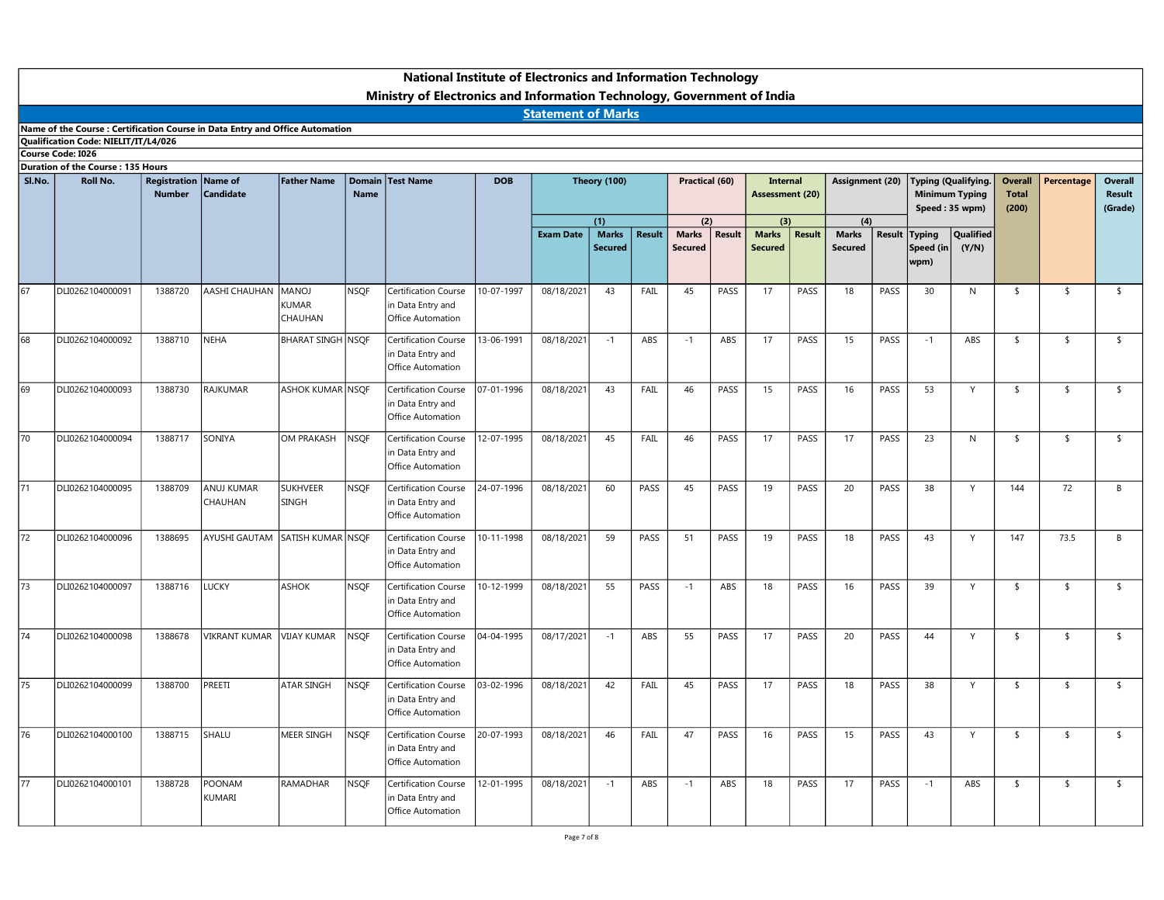|        |                                                                               |                             |                                 |                          |               | Ministry of Electronics and Information Technology, Government of India |            | <b>National Institute of Electronics and Information Technology</b> |                                       |        |                                |                |                                       |                        |                                       |        |                                         |                    |                       |                      |                   |
|--------|-------------------------------------------------------------------------------|-----------------------------|---------------------------------|--------------------------|---------------|-------------------------------------------------------------------------|------------|---------------------------------------------------------------------|---------------------------------------|--------|--------------------------------|----------------|---------------------------------------|------------------------|---------------------------------------|--------|-----------------------------------------|--------------------|-----------------------|----------------------|-------------------|
|        | Name of the Course : Certification Course in Data Entry and Office Automation |                             |                                 |                          |               |                                                                         |            | <b>Statement of Marks</b>                                           |                                       |        |                                |                |                                       |                        |                                       |        |                                         |                    |                       |                      |                   |
|        | Qualification Code: NIELIT/IT/L4/026<br>Course Code: I026                     |                             |                                 |                          |               |                                                                         |            |                                                                     |                                       |        |                                |                |                                       |                        |                                       |        |                                         |                    |                       |                      |                   |
| SI.No. | Duration of the Course: 135 Hours<br>Roll No.                                 | <b>Registration Name of</b> |                                 | <b>Father Name</b>       | <b>Domain</b> | <b>Test Name</b>                                                        | <b>DOB</b> |                                                                     | Theory (100)                          |        |                                | Practical (60) |                                       | <b>Internal</b>        |                                       |        | Assignment (20) Typing (Qualifying.     |                    |                       | Overall   Percentage | Overall           |
|        |                                                                               | <b>Number</b>               | <b>Candidate</b>                |                          | Name          |                                                                         |            |                                                                     |                                       |        |                                |                |                                       | <b>Assessment (20)</b> |                                       |        | <b>Minimum Typing</b><br>Speed: 35 wpm) |                    | <b>Total</b><br>(200) |                      | Result<br>(Grade) |
|        |                                                                               |                             |                                 |                          |               |                                                                         |            | <b>Exam Date</b>                                                    | (1)<br><b>Marks</b><br><b>Secured</b> | Result | <b>Marks</b><br><b>Secured</b> | (2)<br>Result  | (3)<br><b>Marks</b><br><b>Secured</b> | <b>Result</b>          | (4)<br><b>Marks</b><br><b>Secured</b> | Result | Typing<br>Speed (in                     | Qualified<br>(Y/N) |                       |                      |                   |
|        |                                                                               |                             |                                 |                          |               |                                                                         |            |                                                                     |                                       |        |                                |                |                                       |                        |                                       |        | wpm)                                    |                    |                       |                      |                   |
| 67     | DLI0262104000091                                                              | 1388720                     | AASHI CHAUHAN MANOJ             | <b>KUMAR</b><br>CHAUHAN  | <b>NSQF</b>   | Certification Course<br>in Data Entry and<br>Office Automation          | 10-07-1997 | 08/18/2021                                                          | 43                                    | FAIL   | 45                             | PASS           | 17                                    | PASS                   | 18                                    | PASS   | 30                                      | N                  | $\sqrt{5}$            | - \$                 | $\sqrt{2}$        |
| 68     | DLI0262104000092                                                              | 1388710                     | NEHA                            | BHARAT SINGH NSQF        |               | Certification Course<br>n Data Entry and<br>Office Automation           | 13-06-1991 | 08/18/2021                                                          | $-1$                                  | ABS    | $-1$                           | ABS            | 17                                    | PASS                   | 15                                    | PASS   | $-1$                                    | ABS                | $\sqrt{2}$            | - \$                 | $\sqrt{2}$        |
| 69     | DLI0262104000093                                                              | 1388730                     | RAJKUMAR                        | ASHOK KUMAR NSQF         |               | Certification Course<br>n Data Entry and                                | 07-01-1996 | 08/18/2021                                                          | 43                                    | FAIL   | 46                             | PASS           | 15                                    | PASS                   | 16                                    | PASS   | 53                                      | Y                  | $\sqrt{2}$            | - \$                 | $\sqrt{2}$        |
| 70     | DLI0262104000094                                                              | 1388717                     | SONIYA                          | OM PRAKASH NSQF          |               | Office Automation<br>Certification Course                               | 12-07-1995 | 08/18/2021                                                          | 45                                    | FAIL   | 46                             | PASS           | 17                                    | PASS                   | 17                                    | PASS   | 23                                      | N                  | $\frac{1}{2}$         | $\sqrt{5}$           | $\sqrt{2}$        |
|        |                                                                               |                             |                                 |                          |               | in Data Entry and<br>Office Automation                                  |            |                                                                     |                                       |        |                                |                |                                       |                        |                                       |        |                                         |                    |                       |                      |                   |
| 71     | DLI0262104000095                                                              | 1388709                     | ANUJ KUMAR<br>CHAUHAN           | <b>SUKHVEER</b><br>SINGH | <b>NSQF</b>   | Certification Course<br>in Data Entry and<br>Office Automation          | 24-07-1996 | 08/18/2021                                                          | 60                                    | PASS   | 45                             | PASS           | 19                                    | PASS                   | 20                                    | PASS   | 38                                      | Y                  | 144                   | 72                   | B                 |
| 72     | DLI0262104000096                                                              | 1388695                     | AYUSHI GAUTAM SATISH KUMAR NSQF |                          |               | Certification Course<br>in Data Entry and<br>Office Automation          | 10-11-1998 | 08/18/2021                                                          | 59                                    | PASS   | 51                             | PASS           | 19                                    | PASS                   | 18                                    | PASS   | 43                                      | Y                  | 147                   | 73.5                 | B                 |
| 73     | DLI0262104000097                                                              | 1388716                     | LUCKY                           | ASHOK                    | <b>NSQF</b>   | Certification Course<br>in Data Entry and<br>Office Automation          | 10-12-1999 | 08/18/2021                                                          | 55                                    | PASS   | $-1$                           | ABS            | 18                                    | PASS                   | 16                                    | PASS   | 39                                      | Y                  | $\sqrt{2}$            | $\sqrt{2}$           | $\frac{1}{2}$     |
| 74     | DLI0262104000098                                                              | 1388678                     | VIKRANT KUMAR VIJAY KUMAR NSQF  |                          |               | Certification Course<br>in Data Entry and                               | 04-04-1995 | 08/17/2021                                                          | $-1$                                  | ABS    | 55                             | PASS           | 17                                    | PASS                   | 20                                    | PASS   | 44                                      | Y                  | $\sqrt{2}$            | - \$                 | $\sqrt{2}$        |
| 75     | DLI0262104000099                                                              |                             | PREETI                          | ATAR SINGH               |               | Office Automation<br>Certification Course                               | 03-02-1996 |                                                                     | 42                                    | FAIL   |                                | PASS           | 17                                    | PASS                   |                                       | PASS   |                                         |                    |                       |                      |                   |
|        |                                                                               | 1388700                     |                                 |                          | <b>NSQF</b>   | in Data Entry and<br>Office Automation                                  |            | 08/18/2021                                                          |                                       |        | 45                             |                |                                       |                        | 18                                    |        | 38                                      | Y                  | $\sqrt{2}$            | $\sqrt{5}$           | $\sqrt{2}$        |
| 76     | DLI0262104000100                                                              | 1388715                     | SHALU                           | MEER SINGH               | <b>NSQF</b>   | Certification Course<br>in Data Entry and<br>Office Automation          | 20-07-1993 | 08/18/2021                                                          | 46                                    | FAIL   | 47                             | PASS           | 16                                    | PASS                   | 15                                    | PASS   | 43                                      | Y                  | $\sqrt{2}$            | $\sqrt{5}$           | $\frac{1}{2}$     |
| 77     | DLI0262104000101                                                              | 1388728                     | POONAM<br>KUMARI                | <b>RAMADHAR</b>          | <b>NSQF</b>   | Certification Course<br>in Data Entry and<br>Office Automation          | 12-01-1995 | 08/18/2021                                                          | $-1$                                  | ABS    | $-1$                           | ABS            | 18                                    | PASS                   | 17                                    | PASS   | $-1$                                    | ABS                | $\sqrt{2}$            | $\sqrt{5}$           | $\frac{1}{2}$     |